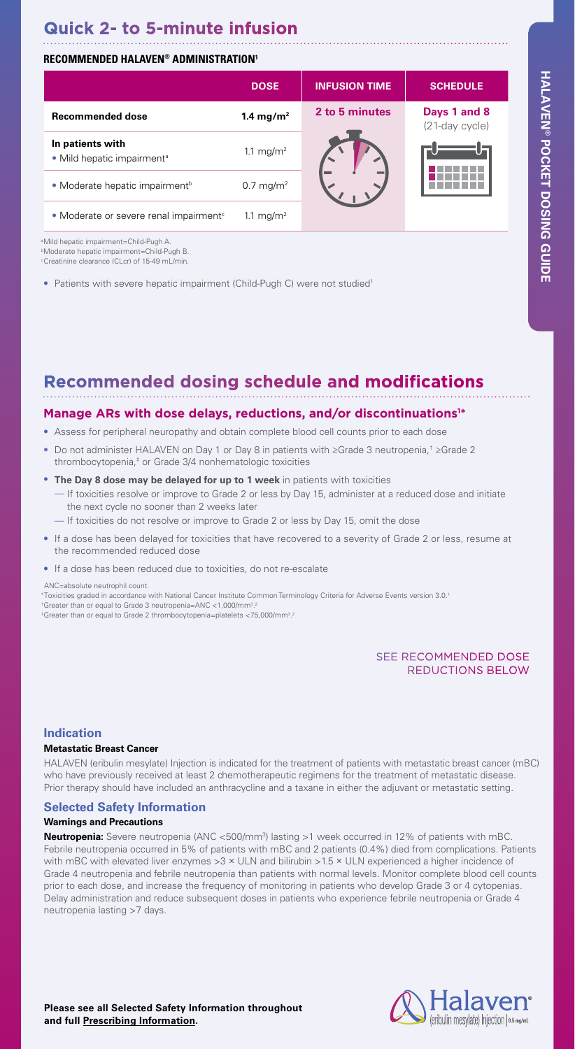# **Quick 2- to 5-minute infusion**

# **RECOMMENDED HALAVEN® ADMINISTRATION1**

|                                                            | <b>DOSE</b>           | <b>INFUSION TIME</b> | <b>SCHEDULE</b>                |
|------------------------------------------------------------|-----------------------|----------------------|--------------------------------|
| <b>Recommended dose</b>                                    | 1.4 mg/m <sup>2</sup> | 2 to 5 minutes       | Days 1 and 8<br>(21-day cycle) |
| In patients with<br>• Mild hepatic impairment <sup>a</sup> | 1.1 mg/m <sup>2</sup> |                      |                                |
| • Moderate hepatic impairment <sup>b</sup>                 | $0.7 \text{ mg/m}^2$  |                      |                                |
| • Moderate or severe renal impairment <sup>c</sup>         | 1.1 mg/m <sup>2</sup> |                      |                                |

a Mild hepatic impairment=Child-Pugh A. b Moderate hepatic impairment=Child-Pugh B. c Creatinine clearance (CLcr) of 15-49 mL/min.

• Patients with severe hepatic impairment (Child-Pugh C) were not studied<sup>1</sup>

# **Recommended dosing schedule and modifications**

### Manage ARs with dose delays, reductions, and/or discontinuations<sup>1\*</sup>

- Assess for peripheral neuropathy and obtain complete blood cell counts prior to each dose
- Do not administer HALAVEN on Day 1 or Day 8 in patients with ≥Grade 3 neutropenia,† ≥Grade 2 thrombocytopenia,‡ or Grade 3/4 nonhematologic toxicities
- **The Day 8 dose may be delayed for up to 1 week** in patients with toxicities — If toxicities resolve or improve to Grade 2 or less by Day 15, administer at a reduced dose and initiate the next cycle no sooner than 2 weeks later
	- If toxicities do not resolve or improve to Grade 2 or less by Day 15, omit the dose
- If a dose has been delayed for toxicities that have recovered to a severity of Grade 2 or less, resume at the recommended reduced dose
- If a dose has been reduced due to toxicities, do not re-escalate

#### ANC=absolute neutrophil count.

\*Toxicities graded in accordance with National Cancer Institute Common Terminology Criteria for Adverse Events version 3.0.1 † Greater than or equal to Grade 3 neutropenia=ANC <1,000/mm3 . <sup>#</sup>Greater than or equal to Grade 2 thrombocytopenia=platelets <75,000/mm<sup>3,2</sup>

## SEE RECOMMENDED DOSE REDUCTIONS BELOW

### **Indication**

#### **Metastatic Breast Cancer**

HALAVEN (eribulin mesylate) Injection is indicated for the treatment of patients with metastatic breast cancer (mBC) who have previously received at least 2 chemotherapeutic regimens for the treatment of metastatic disease. Prior therapy should have included an anthracycline and a taxane in either the adjuvant or metastatic setting.

### **Selected Safety Information**

#### **Warnings and Precautions**

**Neutropenia:** Severe neutropenia (ANC <500/mm3 ) lasting >1 week occurred in 12% of patients with mBC. Febrile neutropenia occurred in 5% of patients with mBC and 2 patients (0.4%) died from complications. Patients with mBC with elevated liver enzymes >3 × ULN and bilirubin >1.5 × ULN experienced a higher incidence of Grade 4 neutropenia and febrile neutropenia than patients with normal levels. Monitor complete blood cell counts prior to each dose, and increase the frequency of monitoring in patients who develop Grade 3 or 4 cytopenias. Delay administration and reduce subsequent doses in patients who experience febrile neutropenia or Grade 4 neutropenia lasting >7 days.